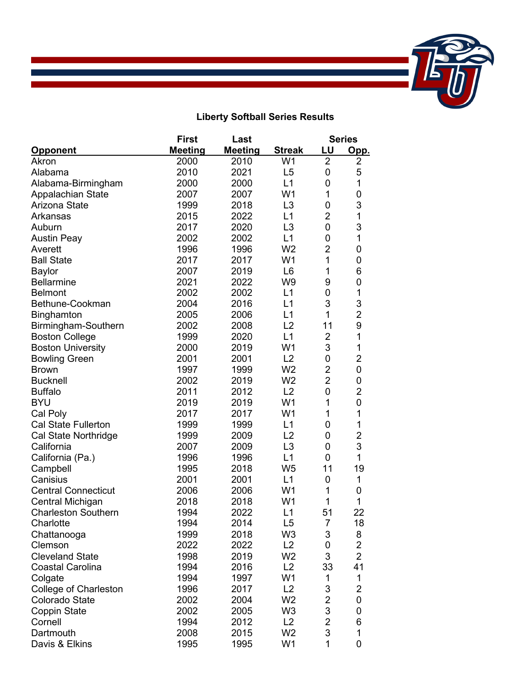

## **Liberty Softball Series Results**

|                              | <b>First</b>   | Last           |                | <b>Series</b>  |                  |
|------------------------------|----------------|----------------|----------------|----------------|------------------|
| <u>Opponent</u>              | <b>Meeting</b> | <b>Meeting</b> | <b>Streak</b>  | <u>LU</u>      | Opp.             |
| Akron                        | 2000           | 2010           | W <sub>1</sub> | $\overline{2}$ | $\overline{2}$   |
| Alabama                      | 2010           | 2021           | L <sub>5</sub> | 0              | 5                |
| Alabama-Birmingham           | 2000           | 2000           | L1             | 0              | 1                |
| Appalachian State            | 2007           | 2007           | W <sub>1</sub> | 1              | $\mathbf 0$      |
| Arizona State                | 1999           | 2018           | L <sub>3</sub> | $\mathbf 0$    | 3                |
| Arkansas                     | 2015           | 2022           | L1             | $\overline{2}$ | $\mathbf 1$      |
| Auburn                       | 2017           | 2020           | L <sub>3</sub> | $\overline{0}$ | 3                |
| <b>Austin Peay</b>           | 2002           | 2002           | L1             | 0              | $\mathbf{1}$     |
| Averett                      | 1996           | 1996           | W <sub>2</sub> | $\overline{2}$ | $\mathbf 0$      |
| <b>Ball State</b>            | 2017           | 2017           | W <sub>1</sub> | 1              | $\mathbf 0$      |
| <b>Baylor</b>                | 2007           | 2019           | L <sub>6</sub> | 1              | 6                |
| <b>Bellarmine</b>            | 2021           | 2022           | W <sub>9</sub> | 9              | $\mathbf 0$      |
| <b>Belmont</b>               | 2002           | 2002           | L1             | $\mathbf 0$    | 1                |
| Bethune-Cookman              | 2004           | 2016           | L1             | 3              | 3                |
| Binghamton                   | 2005           | 2006           | L1             | 1              | $\overline{2}$   |
| Birmingham-Southern          | 2002           | 2008           | L <sub>2</sub> | 11             | 9                |
| <b>Boston College</b>        | 1999           | 2020           | L1             | $\overline{2}$ | $\overline{1}$   |
| <b>Boston University</b>     | 2000           | 2019           | W <sub>1</sub> | 3              | 1                |
| <b>Bowling Green</b>         | 2001           | 2001           | L2             | $\mathbf 0$    | $\overline{2}$   |
| <b>Brown</b>                 | 1997           | 1999           | W <sub>2</sub> | $\overline{2}$ | $\mathbf 0$      |
| <b>Bucknell</b>              | 2002           | 2019           | W <sub>2</sub> | $\overline{2}$ | $\boldsymbol{0}$ |
| <b>Buffalo</b>               | 2011           | 2012           | L2             | $\mathbf 0$    | $\overline{2}$   |
| <b>BYU</b>                   | 2019           | 2019           | W <sub>1</sub> | 1              | $\mathbf 0$      |
| Cal Poly                     | 2017           | 2017           | W <sub>1</sub> | 1              | $\mathbf{1}$     |
| Cal State Fullerton          | 1999           | 1999           | L1             | 0              | 1                |
| Cal State Northridge         | 1999           | 2009           | L2             | 0              | $\overline{2}$   |
| California                   | 2007           | 2009           | L <sub>3</sub> | 0              | 3                |
| California (Pa.)             | 1996           | 1996           | L1             | $\overline{0}$ | 1                |
| Campbell                     | 1995           | 2018           | W <sub>5</sub> | 11             | 19               |
| Canisius                     | 2001           | 2001           | L1             | 0              | 1                |
| <b>Central Connecticut</b>   | 2006           | 2006           | W <sub>1</sub> | 1              | $\mathbf 0$      |
| Central Michigan             | 2018           | 2018           | W <sub>1</sub> | 1              | 1                |
| <b>Charleston Southern</b>   | 1994           | 2022           | L1             | 51             | 22               |
| Charlotte                    | 1994           | 2014           | L5             | 7              | 18               |
| Chattanooga                  | 1999           | 2018           | W <sub>3</sub> | 3              | 8                |
| Clemson                      | 2022           | 2022           | L2             | 0              | $\overline{2}$   |
| <b>Cleveland State</b>       | 1998           | 2019           | W <sub>2</sub> | 3              | $\overline{2}$   |
| <b>Coastal Carolina</b>      | 1994           | 2016           | L2             | 33             | 41               |
| Colgate                      | 1994           | 1997           | W <sub>1</sub> | 1              | 1                |
| <b>College of Charleston</b> | 1996           | 2017           | L2             | 3              | $\overline{2}$   |
| Colorado State               | 2002           | 2004           | W <sub>2</sub> | $\overline{2}$ | $\mathbf 0$      |
| <b>Coppin State</b>          | 2002           | 2005           | W <sub>3</sub> | 3              | $\pmb{0}$        |
| Cornell                      | 1994           | 2012           | L2             | $\overline{2}$ | 6                |
| Dartmouth                    | 2008           | 2015           | W <sub>2</sub> | 3              | 1                |
| Davis & Elkins               | 1995           | 1995           | W1             | 1              | $\boldsymbol{0}$ |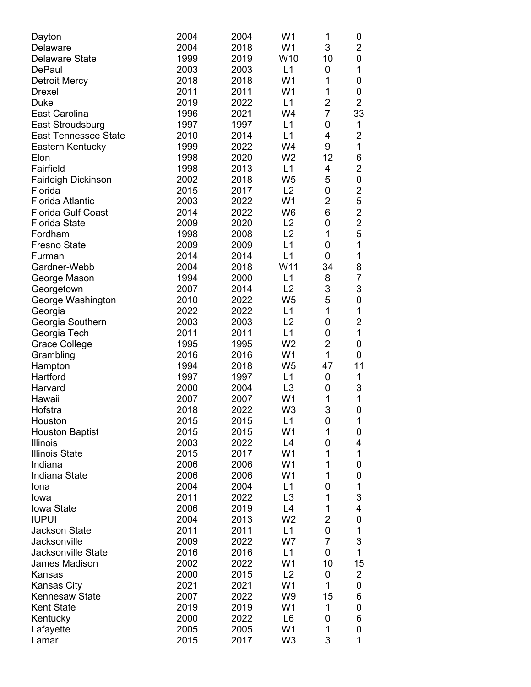| Dayton                               | 2004         | 2004         | W <sub>1</sub>       | 1                   | 0              |
|--------------------------------------|--------------|--------------|----------------------|---------------------|----------------|
| <b>Delaware</b>                      | 2004         | 2018         | W <sub>1</sub>       | 3                   | 2              |
| <b>Delaware State</b>                | 1999         | 2019         | W10                  | 10                  | 0              |
| <b>DePaul</b>                        | 2003         | 2003         | L1                   | 0                   | 1              |
| <b>Detroit Mercy</b>                 | 2018         | 2018         | W <sub>1</sub>       | 1                   | 0              |
| <b>Drexel</b>                        | 2011         | 2011         | W <sub>1</sub>       | 1                   | 0              |
| Duke                                 | 2019         | 2022         | L1                   | $\overline{2}$      | $\overline{2}$ |
| East Carolina                        | 1996         | 2021         | W4                   | $\overline{7}$      | 33             |
| East Stroudsburg                     | 1997         | 1997         | L1                   | 0                   | $\mathbf 1$    |
| <b>East Tennessee State</b>          | 2010         | 2014         | L1                   | 4                   | $\overline{2}$ |
| Eastern Kentucky                     | 1999         | 2022         | W4                   | 9                   | 1              |
| Elon                                 | 1998         | 2020         | W <sub>2</sub>       | 12                  | 6              |
| Fairfield                            | 1998         | 2013         | L1                   | 4                   | $\overline{2}$ |
| <b>Fairleigh Dickinson</b>           | 2002         | 2018         | W <sub>5</sub>       | 5                   | 0              |
| Florida                              | 2015         | 2017         | L2                   | 0                   | $\overline{c}$ |
| <b>Florida Atlantic</b>              | 2003         | 2022         | W <sub>1</sub>       | $\overline{2}$      | 5              |
| <b>Florida Gulf Coast</b>            | 2014         | 2022         | W <sub>6</sub>       | 6                   | $\overline{2}$ |
| <b>Florida State</b>                 | 2009         | 2020         | L2                   | 0                   | $\overline{2}$ |
| Fordham                              | 1998         | 2008         | L2                   | 1                   | 5              |
| <b>Fresno State</b>                  | 2009         | 2009         | L1                   | 0                   | 1              |
| Furman                               | 2014         | 2014         | L1                   | 0                   | 1              |
| Gardner-Webb                         | 2004         | 2018         | W11                  | 34                  | 8              |
| George Mason                         | 1994         | 2000         | L1                   | 8                   | 7              |
| Georgetown                           | 2007         | 2014         | L2                   | 3                   | 3              |
| George Washington                    | 2010         | 2022         | W <sub>5</sub>       | 5                   | 0              |
| Georgia                              | 2022         | 2022         | L1                   | $\mathbf 1$         | 1              |
| Georgia Southern                     | 2003         | 2003         | L2                   | 0                   | $\overline{2}$ |
| Georgia Tech                         | 2011         | 2011         | L1                   | 0                   | 1              |
| <b>Grace College</b>                 | 1995         | 1995         | W <sub>2</sub>       | $\overline{2}$      | 0              |
| Grambling                            | 2016         | 2016         | W <sub>1</sub>       | $\mathbf{1}$        | 0              |
| Hampton                              | 1994         | 2018         | W <sub>5</sub>       | 47                  | 11             |
| Hartford                             | 1997         | 1997         | L1                   | 0                   | 1              |
| Harvard                              | 2000         | 2004         | L <sub>3</sub>       | 0                   | 3              |
| Hawaii                               | 2007         | 2007         | W <sub>1</sub>       | 1                   | 1              |
| Hofstra                              | 2018         | 2022         | W <sub>3</sub>       | 3                   | 0              |
| Houston                              | 2015         | 2015         | L1                   | 0                   | $\mathbf{1}$   |
| <b>Houston Baptist</b>               | 2015         | 2015         | W1                   | $\mathbf{1}$        | 0              |
| <b>Illinois</b>                      | 2003         | 2022         | L4                   | 0                   | 4              |
| <b>Illinois State</b>                | 2015         | 2017         | W <sub>1</sub>       | 1                   | 1              |
| Indiana                              | 2006         | 2006         | W <sub>1</sub>       | 1                   | 0              |
| Indiana State                        | 2006         | 2006         | W <sub>1</sub>       | 1                   | 0              |
| Iona                                 | 2004         | 2004         | L1                   | 0                   | 1              |
| lowa                                 | 2011         | 2022         | L <sub>3</sub>       | 1                   | 3              |
| <b>Iowa State</b>                    | 2006         | 2019         | L4                   | 1                   | 4              |
| <b>IUPUI</b>                         | 2004         | 2013         | W <sub>2</sub>       | $\overline{c}$      | 0              |
| <b>Jackson State</b>                 | 2011         | 2011         | L1                   | 0<br>$\overline{7}$ | 1              |
| Jacksonville                         | 2009         | 2022         | W7                   | 0                   | 3              |
| <b>Jacksonville State</b>            | 2016         | 2016         | L1<br>W <sub>1</sub> |                     | 1              |
| James Madison                        | 2002         | 2022         | L2                   | 10                  | 15             |
| Kansas                               | 2000         | 2015         | W <sub>1</sub>       | 0<br>1              | $\overline{2}$ |
| Kansas City<br><b>Kennesaw State</b> | 2021<br>2007 | 2021<br>2022 | W <sub>9</sub>       | 15                  | 0              |
| <b>Kent State</b>                    | 2019         | 2019         | W <sub>1</sub>       | 1                   | 6<br>0         |
| Kentucky                             | 2000         | 2022         | L <sub>6</sub>       | 0                   | 6              |
| Lafayette                            | 2005         | 2005         | W <sub>1</sub>       | 1                   | 0              |
| Lamar                                | 2015         | 2017         | W <sub>3</sub>       | 3                   | 1              |
|                                      |              |              |                      |                     |                |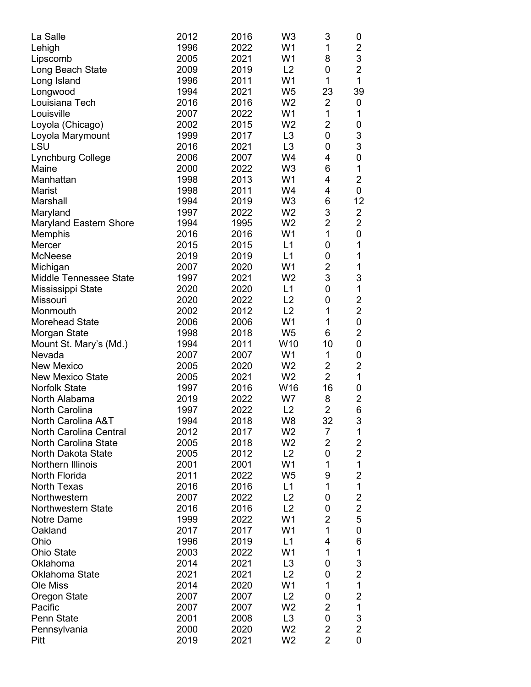| La Salle                      | 2012 | 2016 | W <sub>3</sub> | 3              | 0              |
|-------------------------------|------|------|----------------|----------------|----------------|
| Lehigh                        | 1996 | 2022 | W <sub>1</sub> | 1              | $\overline{2}$ |
| Lipscomb                      | 2005 | 2021 | W <sub>1</sub> | 8              | 3              |
| Long Beach State              | 2009 | 2019 | L2             | 0              | $\overline{2}$ |
| Long Island                   | 1996 | 2011 | W <sub>1</sub> | $\mathbf 1$    | 1              |
| Longwood                      | 1994 | 2021 | W <sub>5</sub> | 23             | 39             |
| Louisiana Tech                | 2016 | 2016 | W <sub>2</sub> | $\overline{2}$ | 0              |
| Louisville                    | 2007 | 2022 | W <sub>1</sub> | 1              | 1              |
| Loyola (Chicago)              | 2002 | 2015 | W <sub>2</sub> | $\overline{2}$ | 0              |
|                               | 1999 | 2017 | L <sub>3</sub> | 0              | 3              |
| Loyola Marymount<br>LSU       | 2016 | 2021 | L <sub>3</sub> | 0              | 3              |
|                               | 2006 |      | W4             | 4              |                |
| Lynchburg College             |      | 2007 | W <sub>3</sub> |                | 0              |
| Maine                         | 2000 | 2022 |                | 6              | 1              |
| Manhattan                     | 1998 | 2013 | W <sub>1</sub> | 4              | $\overline{2}$ |
| Marist                        | 1998 | 2011 | W4             | 4              | 0              |
| Marshall                      | 1994 | 2019 | W <sub>3</sub> | 6              | 12             |
| Maryland                      | 1997 | 2022 | W <sub>2</sub> | 3              | $\overline{2}$ |
| <b>Maryland Eastern Shore</b> | 1994 | 1995 | W <sub>2</sub> | $\overline{2}$ | $\overline{2}$ |
| Memphis                       | 2016 | 2016 | W <sub>1</sub> | $\mathbf{1}$   | 0              |
| Mercer                        | 2015 | 2015 | L1             | 0              | 1              |
| <b>McNeese</b>                | 2019 | 2019 | L1             | 0              | 1              |
| Michigan                      | 2007 | 2020 | W <sub>1</sub> | $\overline{2}$ | 1              |
| Middle Tennessee State        | 1997 | 2021 | W <sub>2</sub> | 3              | 3              |
| Mississippi State             | 2020 | 2020 | L1             | 0              | 1              |
| Missouri                      | 2020 | 2022 | L <sub>2</sub> | 0              | $\overline{2}$ |
| Monmouth                      | 2002 | 2012 | L2             | 1              | $\overline{2}$ |
| <b>Morehead State</b>         | 2006 | 2006 | W <sub>1</sub> | 1              | 0              |
| Morgan State                  | 1998 | 2018 | W <sub>5</sub> | 6              | $\overline{2}$ |
| Mount St. Mary's (Md.)        | 1994 | 2011 | W10            | 10             | 0              |
| Nevada                        | 2007 | 2007 | W <sub>1</sub> | 1              | 0              |
| <b>New Mexico</b>             | 2005 | 2020 | W <sub>2</sub> | $\overline{2}$ | 2              |
| <b>New Mexico State</b>       | 2005 | 2021 | W <sub>2</sub> | $\overline{2}$ | 1              |
| <b>Norfolk State</b>          | 1997 | 2016 | W16            | 16             | 0              |
| North Alabama                 | 2019 | 2022 | W7             | 8              | $\overline{2}$ |
| North Carolina                | 1997 | 2022 | L2             | 2              | 6              |
| North Carolina A&T            | 1994 | 2018 | W8             | 32             | 3              |
| North Carolina Central        | 2012 | 2017 | W <sub>2</sub> | 7              | 1              |
| <b>North Carolina State</b>   | 2005 | 2018 | W <sub>2</sub> | $\overline{2}$ | $\overline{2}$ |
| North Dakota State            | 2005 | 2012 | L2             | 0              | $\overline{2}$ |
| Northern Illinois             | 2001 | 2001 | W <sub>1</sub> | 1              | 1              |
| North Florida                 | 2011 | 2022 | W <sub>5</sub> | 9              | $\overline{2}$ |
| <b>North Texas</b>            | 2016 | 2016 | L1             | 1              | 1              |
| Northwestern                  | 2007 | 2022 | L2             | 0              | $\overline{c}$ |
| <b>Northwestern State</b>     | 2016 | 2016 | L2             | 0              | $\overline{2}$ |
| Notre Dame                    | 1999 | 2022 | W <sub>1</sub> | $\overline{c}$ | 5              |
| Oakland                       | 2017 | 2017 | W <sub>1</sub> | $\mathbf{1}$   | 0              |
| Ohio                          | 1996 | 2019 | L1             | 4              | 6              |
| <b>Ohio State</b>             | 2003 | 2022 | W <sub>1</sub> | 1              | 1              |
| Oklahoma                      | 2014 | 2021 | L <sub>3</sub> | 0              | 3              |
| Oklahoma State                | 2021 | 2021 | L2             | 0              | 2              |
| Ole Miss                      | 2014 | 2020 | W <sub>1</sub> | 1              | 1              |
| <b>Oregon State</b>           | 2007 | 2007 | L2             | 0              | 2              |
| Pacific                       | 2007 | 2007 | W <sub>2</sub> | $\overline{c}$ | 1              |
| <b>Penn State</b>             | 2001 | 2008 | L <sub>3</sub> | 0              | 3              |
| Pennsylvania                  | 2000 | 2020 | W <sub>2</sub> | 2              | $\overline{2}$ |
| Pitt                          | 2019 | 2021 | W <sub>2</sub> | $\overline{2}$ | 0              |
|                               |      |      |                |                |                |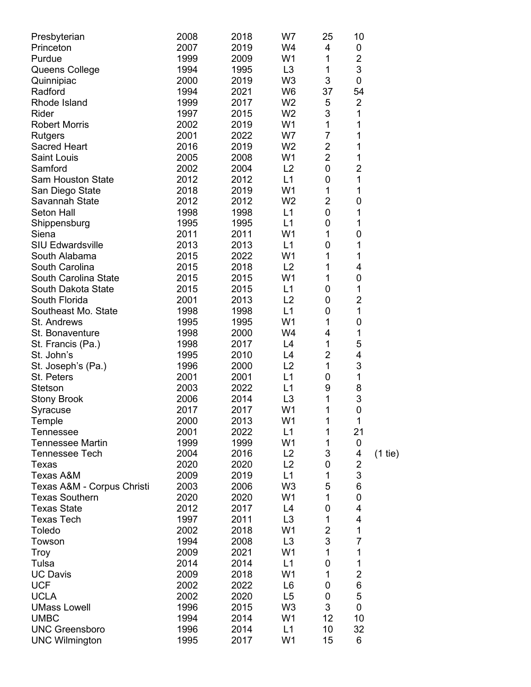| Presbyterian<br>Princeton  | 2008<br>2007 | 2018<br>2019 | W7<br>W4             | 25<br>4        | 10<br>0        |           |
|----------------------------|--------------|--------------|----------------------|----------------|----------------|-----------|
| Purdue                     | 1999         | 2009         | W <sub>1</sub>       | 1              | $\overline{2}$ |           |
| Queens College             | 1994         | 1995         | L <sub>3</sub>       | 1              | 3              |           |
| Quinnipiac                 | 2000         | 2019         | W <sub>3</sub>       | 3              | 0              |           |
| Radford                    | 1994         | 2021         | W <sub>6</sub>       | 37             | 54             |           |
| Rhode Island               | 1999         | 2017         | W <sub>2</sub>       | 5              | $\overline{2}$ |           |
| Rider                      | 1997         | 2015         | W <sub>2</sub>       | 3              | 1              |           |
| <b>Robert Morris</b>       | 2002         | 2019         | W <sub>1</sub>       | 1              | 1              |           |
| <b>Rutgers</b>             | 2001         | 2022         | W7                   | $\overline{7}$ | 1              |           |
| <b>Sacred Heart</b>        | 2016         | 2019         | W <sub>2</sub>       | $\overline{2}$ | 1              |           |
| <b>Saint Louis</b>         | 2005         | 2008         | W <sub>1</sub>       | $\overline{2}$ | 1              |           |
| Samford                    | 2002         | 2004         | L2                   | 0              | 2              |           |
| <b>Sam Houston State</b>   | 2012         | 2012         | L1                   | 0              | 1              |           |
| San Diego State            | 2018         | 2019         | W <sub>1</sub>       | 1              | 1              |           |
| Savannah State             | 2012         | 2012         | W <sub>2</sub>       | $\overline{2}$ | 0              |           |
| Seton Hall                 | 1998         | 1998         | L1                   | 0              | 1              |           |
| Shippensburg               | 1995         | 1995         | L1                   | 0              | 1              |           |
| Siena                      | 2011         | 2011         | W <sub>1</sub>       | 1              | 0              |           |
| <b>SIU Edwardsville</b>    | 2013         | 2013         | L1                   | 0              | 1              |           |
| South Alabama              | 2015         | 2022         | W1                   | 1              | 1              |           |
| South Carolina             | 2015         | 2018         | L2                   | 1              | 4              |           |
| South Carolina State       | 2015         | 2015         | W <sub>1</sub>       | 1              | 0              |           |
| South Dakota State         | 2015         | 2015         | L1                   | 0              | 1              |           |
| South Florida              | 2001         | 2013         | L2                   | 0              | $\overline{2}$ |           |
| Southeast Mo. State        | 1998         | 1998         | L1                   | 0              | 1              |           |
| St. Andrews                | 1995         | 1995         | W <sub>1</sub>       | 1              | 0              |           |
| St. Bonaventure            | 1998         | 2000         | W4                   | 4              | 1              |           |
| St. Francis (Pa.)          | 1998         | 2017         | L4                   | 1              | 5              |           |
| St. John's                 | 1995         | 2010         | L4                   | $\overline{2}$ | 4              |           |
| St. Joseph's (Pa.)         | 1996         | 2000         | L2                   | 1              | 3              |           |
| St. Peters                 | 2001         | 2001         | L1                   | 0              | 1              |           |
| Stetson                    | 2003         | 2022         | L1                   | 9              | 8              |           |
| <b>Stony Brook</b>         | 2006         | 2014         | L <sub>3</sub>       | 1              | 3              |           |
| Syracuse                   | 2017         | 2017         | W <sub>1</sub>       | 1              | 0              |           |
| Temple                     | 2000         | 2013         | W <sub>1</sub>       | 1              | $\mathbf 1$    |           |
| Tennessee                  | 2001         | 2022         | L1                   | 1              | 21             |           |
| <b>Tennessee Martin</b>    | 1999         | 1999         | W <sub>1</sub>       | 1              | 0              |           |
| <b>Tennessee Tech</b>      | 2004         | 2016         | L2                   | 3              | 4              | $(1$ tie) |
| Texas                      | 2020         | 2020         | L2                   | 0              | 2              |           |
| Texas A&M                  | 2009         | 2019         | L1                   | 1              | 3              |           |
| Texas A&M - Corpus Christi | 2003         | 2006         | W <sub>3</sub>       | 5              | 6              |           |
| <b>Texas Southern</b>      | 2020         | 2020         | W <sub>1</sub>       | 1              | 0              |           |
| <b>Texas State</b>         | 2012         | 2017         | L4                   | 0              | 4              |           |
| <b>Texas Tech</b>          | 1997         | 2011         | L <sub>3</sub>       | 1              | 4              |           |
| Toledo                     | 2002         | 2018         | W <sub>1</sub>       | $\overline{2}$ | 1              |           |
| Towson                     | 1994         | 2008         | L <sub>3</sub>       | 3              | 7              |           |
| Troy                       | 2009         | 2021         | W <sub>1</sub>       | 1              | 1              |           |
| Tulsa                      | 2014         | 2014         | L1                   | 0              | 1              |           |
| <b>UC Davis</b>            | 2009         | 2018         | W1                   | 1              | $\overline{2}$ |           |
| <b>UCF</b>                 | 2002         | 2022         | L6                   | 0              | 6              |           |
| <b>UCLA</b>                | 2002         | 2020         | L <sub>5</sub>       | 0              | 5              |           |
| <b>UMass Lowell</b>        | 1996         | 2015         | W <sub>3</sub>       | 3              | 0              |           |
| <b>UMBC</b>                | 1994         | 2014         | W1                   | 12             | 10             |           |
| <b>UNC Greensboro</b>      | 1996         | 2014         | L1<br>W <sub>1</sub> | 10             | 32             |           |
| <b>UNC Wilmington</b>      | 1995         | 2017         |                      | 15             | 6              |           |